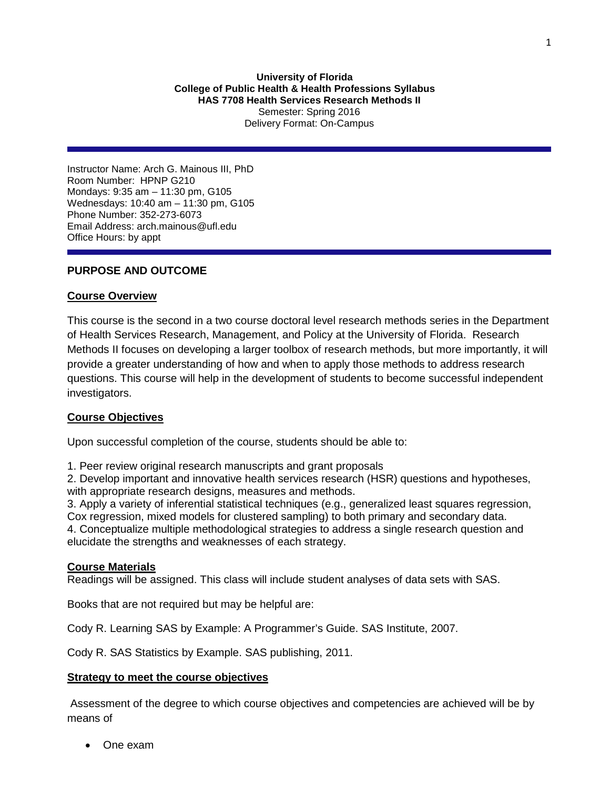# **University of Florida College of Public Health & Health Professions Syllabus HAS 7708 Health Services Research Methods II** Semester: Spring 2016 Delivery Format: On-Campus

Instructor Name: Arch G. Mainous III, PhD Room Number: HPNP G210 Mondays: 9:35 am – 11:30 pm, G105 Wednesdays: 10:40 am – 11:30 pm, G105 Phone Number: 352-273-6073 Email Address: arch.mainous@ufl.edu Office Hours: by appt

# **PURPOSE AND OUTCOME**

# **Course Overview**

This course is the second in a two course doctoral level research methods series in the Department of Health Services Research, Management, and Policy at the University of Florida. Research Methods II focuses on developing a larger toolbox of research methods, but more importantly, it will provide a greater understanding of how and when to apply those methods to address research questions. This course will help in the development of students to become successful independent investigators.

# **Course Objectives**

Upon successful completion of the course, students should be able to:

1. Peer review original research manuscripts and grant proposals

2. Develop important and innovative health services research (HSR) questions and hypotheses, with appropriate research designs, measures and methods.

3. Apply a variety of inferential statistical techniques (e.g., generalized least squares regression, Cox regression, mixed models for clustered sampling) to both primary and secondary data. 4. Conceptualize multiple methodological strategies to address a single research question and elucidate the strengths and weaknesses of each strategy.

## **Course Materials**

Readings will be assigned. This class will include student analyses of data sets with SAS.

Books that are not required but may be helpful are:

Cody R. Learning SAS by Example: A Programmer's Guide. SAS Institute, 2007.

Cody R. SAS Statistics by Example. SAS publishing, 2011.

## **Strategy to meet the course objectives**

Assessment of the degree to which course objectives and competencies are achieved will be by means of

• One exam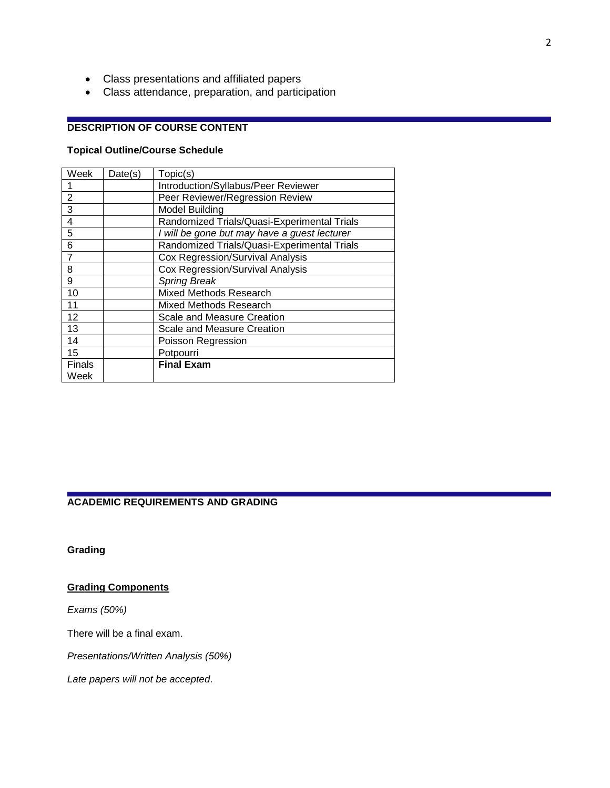- Class presentations and affiliated papers
- Class attendance, preparation, and participation

# **DESCRIPTION OF COURSE CONTENT**

# **Topical Outline/Course Schedule**

| Week           | Date(s) | Topic(s)                                     |
|----------------|---------|----------------------------------------------|
|                |         | Introduction/Syllabus/Peer Reviewer          |
| $\overline{2}$ |         | Peer Reviewer/Regression Review              |
| 3              |         | <b>Model Building</b>                        |
| 4              |         | Randomized Trials/Quasi-Experimental Trials  |
| 5              |         | I will be gone but may have a guest lecturer |
| 6              |         | Randomized Trials/Quasi-Experimental Trials  |
| 7              |         | Cox Regression/Survival Analysis             |
| 8              |         | <b>Cox Regression/Survival Analysis</b>      |
| 9              |         | <b>Spring Break</b>                          |
| 10             |         | Mixed Methods Research                       |
| 11             |         | Mixed Methods Research                       |
| 12             |         | Scale and Measure Creation                   |
| 13             |         | Scale and Measure Creation                   |
| 14             |         | Poisson Regression                           |
| 15             |         | Potpourri                                    |
| <b>Finals</b>  |         | <b>Final Exam</b>                            |
| Week           |         |                                              |

#### **ACADEMIC REQUIREMENTS AND GRADING**

**Grading**

# **Grading Components**

*Exams (50%)*

There will be a final exam.

*Presentations/Written Analysis (50%)*

*Late papers will not be accepted*.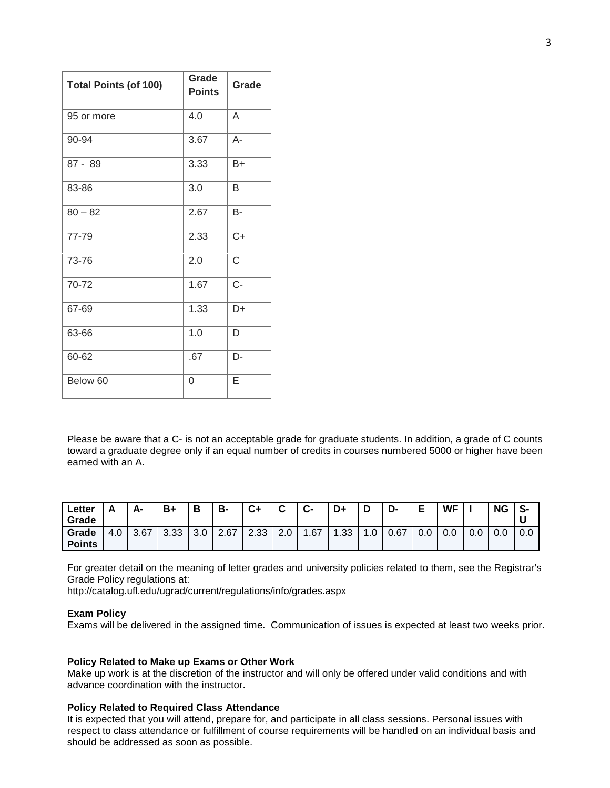| <b>Total Points (of 100)</b> | Grade<br><b>Points</b> | Grade     |  |  |
|------------------------------|------------------------|-----------|--|--|
| 95 or more                   | 4.0                    | A         |  |  |
| 90-94                        | 3.67                   | $A -$     |  |  |
| $87 - 89$                    | 3.33                   | B+        |  |  |
| 83-86                        | 3.0                    | B         |  |  |
| $80 - 82$                    | 2.67                   | <b>B-</b> |  |  |
| 77-79                        | 2.33                   | $C+$      |  |  |
| 73-76                        | 2.0                    | C         |  |  |
| 70-72                        | 1.67                   | $C -$     |  |  |
| 67-69                        | 1.33                   | D+        |  |  |
| 63-66                        | 1.0                    | D         |  |  |
| 60-62                        | .67                    | D-        |  |  |
| Below 60                     | 0                      | E         |  |  |

Please be aware that a C- is not an acceptable grade for graduate students. In addition, a grade of C counts toward a graduate degree only if an equal number of credits in courses numbered 5000 or higher have been earned with an A.

| Letter<br>Grade        |     | А-   | $B+$ | в          | B-   | $C+$ | ◠<br>ັ    | C-         | D+   | D   | D-   | Е   | WF  |     | <b>NG</b> | S-  |
|------------------------|-----|------|------|------------|------|------|-----------|------------|------|-----|------|-----|-----|-----|-----------|-----|
| Grade<br><b>Points</b> | 4.0 | 3.67 | 3.33 | າ ດ<br>J.U | 2.67 | 2.33 | 2.0<br>C. | <b>.67</b> | 1.33 | I.U | 0.67 | 0.0 | 0.0 | 0.0 | 0.0       | 0.0 |

For greater detail on the meaning of letter grades and university policies related to them, see the Registrar's Grade Policy regulations at:

<http://catalog.ufl.edu/ugrad/current/regulations/info/grades.aspx>

#### **Exam Policy**

Exams will be delivered in the assigned time. Communication of issues is expected at least two weeks prior.

#### **Policy Related to Make up Exams or Other Work**

Make up work is at the discretion of the instructor and will only be offered under valid conditions and with advance coordination with the instructor.

#### **Policy Related to Required Class Attendance**

It is expected that you will attend, prepare for, and participate in all class sessions. Personal issues with respect to class attendance or fulfillment of course requirements will be handled on an individual basis and should be addressed as soon as possible.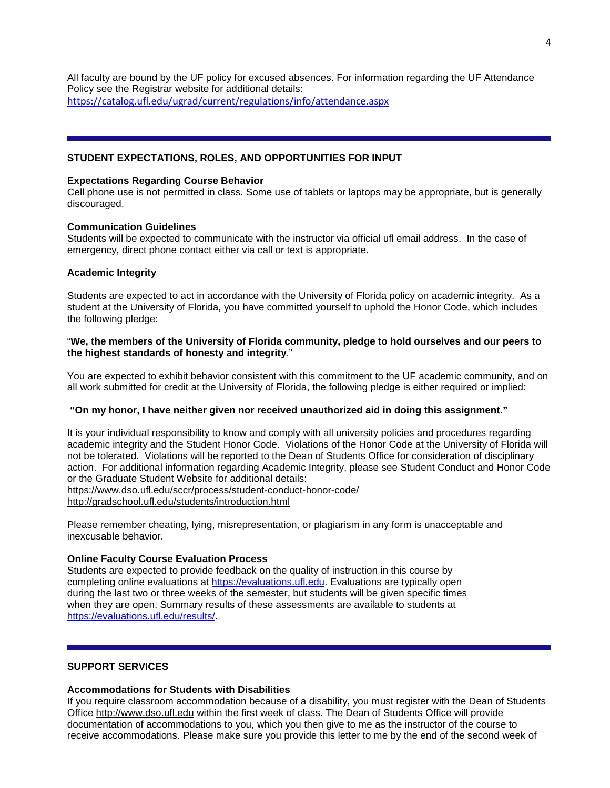All faculty are bound by the UF policy for excused absences. For information regarding the UF Attendance Policy see the Registrar website for additional details: <https://catalog.ufl.edu/ugrad/current/regulations/info/attendance.aspx>

# **STUDENT EXPECTATIONS, ROLES, AND OPPORTUNITIES FOR INPUT**

#### **Expectations Regarding Course Behavior**

Cell phone use is not permitted in class. Some use of tablets or laptops may be appropriate, but is generally discouraged.

## **Communication Guidelines**

Students will be expected to communicate with the instructor via official ufl email address. In the case of emergency, direct phone contact either via call or text is appropriate.

## **Academic Integrity**

Students are expected to act in accordance with the University of Florida policy on academic integrity. As a student at the University of Florida, you have committed yourself to uphold the Honor Code, which includes the following pledge:

# "**We, the members of the University of Florida community, pledge to hold ourselves and our peers to the highest standards of honesty and integrity**."

You are expected to exhibit behavior consistent with this commitment to the UF academic community, and on all work submitted for credit at the University of Florida, the following pledge is either required or implied:

## **"On my honor, I have neither given nor received unauthorized aid in doing this assignment."**

It is your individual responsibility to know and comply with all university policies and procedures regarding academic integrity and the Student Honor Code. Violations of the Honor Code at the University of Florida will not be tolerated. Violations will be reported to the Dean of Students Office for consideration of disciplinary action. For additional information regarding Academic Integrity, please see Student Conduct and Honor Code or the Graduate Student Website for additional details: <https://www.dso.ufl.edu/sccr/process/student-conduct-honor-code/> <http://gradschool.ufl.edu/students/introduction.html>

Please remember cheating, lying, misrepresentation, or plagiarism in any form is unacceptable and inexcusable behavior.

## **Online Faculty Course Evaluation Process**

Students are expected to provide feedback on the quality of instruction in this course by completing online evaluations at [https://evaluations.ufl.edu.](https://evaluations.ufl.edu/) Evaluations are typically open during the last two or three weeks of the semester, but students will be given specific times when they are open. Summary results of these assessments are available to students at [https://evaluations.ufl.edu/results/.](https://evaluations.ufl.edu/results/)

# **SUPPORT SERVICES**

## **Accommodations for Students with Disabilities**

If you require classroom accommodation because of a disability, you must register with the Dean of Students Office [http://www.dso.ufl.edu](http://www.dso.ufl.edu/) within the first week of class. The Dean of Students Office will provide documentation of accommodations to you, which you then give to me as the instructor of the course to receive accommodations. Please make sure you provide this letter to me by the end of the second week of